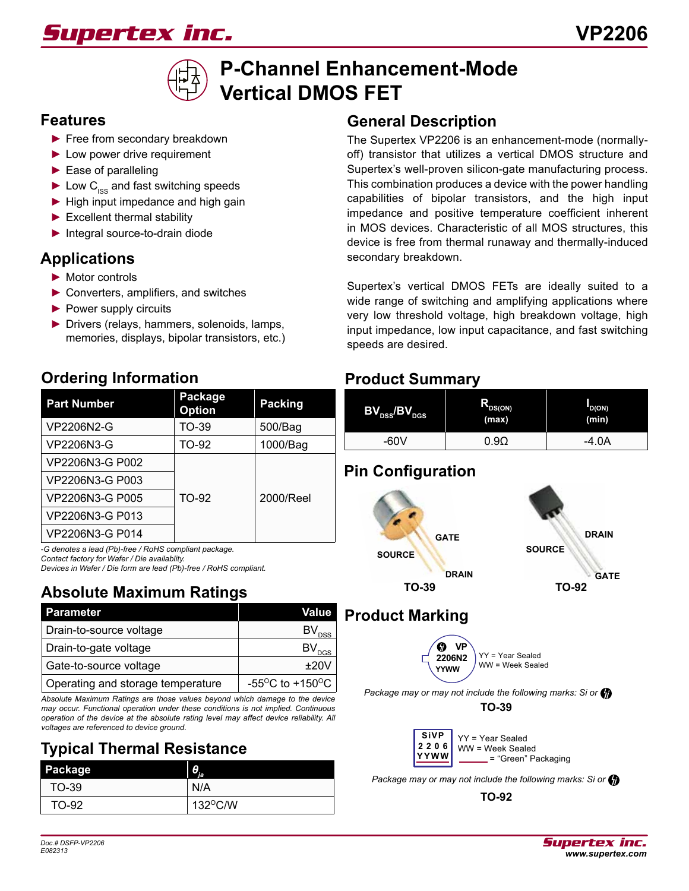# *Supertex inc.*



# **P-Channel Enhancement-Mode Vertical DMOS FET**

#### **Features**

- ► Free from secondary breakdown
- ► Low power drive requirement
- ► Ease of paralleling
- $\blacktriangleright$  Low C<sub>ISS</sub> and fast switching speeds
- ► High input impedance and high gain
- ► Excellent thermal stability
- ► Integral source-to-drain diode

### **Applications**

- ► Motor controls
- ► Converters, amplifiers, and switches
- ▶ Power supply circuits
- ► Drivers (relays, hammers, solenoids, lamps, memories, displays, bipolar transistors, etc.)

### **Ordering Information**

| <b>Part Number</b> | Package<br><b>Option</b> | <b>Packing</b> |
|--------------------|--------------------------|----------------|
| VP2206N2-G         | TO-39                    | 500/Bag        |
| VP2206N3-G         | TO-92                    | 1000/Bag       |
| VP2206N3-G P002    |                          |                |
| VP2206N3-G P003    |                          |                |
| VP2206N3-G P005    | TO-92                    | 2000/Reel      |
| VP2206N3-G P013    |                          |                |
| VP2206N3-G P014    |                          |                |

*-G denotes a lead (Pb)-free / RoHS compliant package.*

*Contact factory for Wafer / Die availablity.* 

*Devices in Wafer / Die form are lead (Pb)-free / RoHS compliant.*

#### **TO-92 Absolute Maximum Ratings**

| <b>Parameter</b>                  | Value                                     |
|-----------------------------------|-------------------------------------------|
| Drain-to-source voltage           | $BV_{DSS}$                                |
| Drain-to-gate voltage             | $BV_{DS}$                                 |
| Gate-to-source voltage            | $+20V$                                    |
| Operating and storage temperature | -55 <sup>o</sup> C to +150 <sup>o</sup> C |

*Absolute Maximum Ratings are those values beyond which damage to the device may occur. Functional operation under these conditions is not implied. Continuous operation of the device at the absolute rating level may affect device reliability. All voltages are referenced to device ground.*

### **Typical Thermal Resistance**

| Package | θ<br>TF.          |
|---------|-------------------|
| TO-39   | N/A               |
| TO-92   | $132^{\circ}$ C/W |

### **General Description**

The Supertex VP2206 is an enhancement-mode (normallyoff) transistor that utilizes a vertical DMOS structure and Supertex's well-proven silicon-gate manufacturing process. This combination produces a device with the power handling capabilities of bipolar transistors, and the high input impedance and positive temperature coefficient inherent in MOS devices. Characteristic of all MOS structures, this device is free from thermal runaway and thermally-induced secondary breakdown.

Supertex's vertical DMOS FETs are ideally suited to a wide range of switching and amplifying applications where very low threshold voltage, high breakdown voltage, high input impedance, low input capacitance, and fast switching speeds are desired.

#### **Product Summary**

| $\left[\mathsf{BV}_\mathrm{DSS}/\mathsf{BV}_\mathrm{DGS}\right]$ | $R_{DS(ON)}$<br>(max) | 'D(ON)<br>(min) |
|------------------------------------------------------------------|-----------------------|-----------------|
| -60V                                                             | 9C                    | -4.0A           |

### **Pin Configuration**



### **Product Marking**



*Package may or may not include the following marks: Si or*

**TO-39**



*Package may or may not include the following marks: Si or*

**TO-92**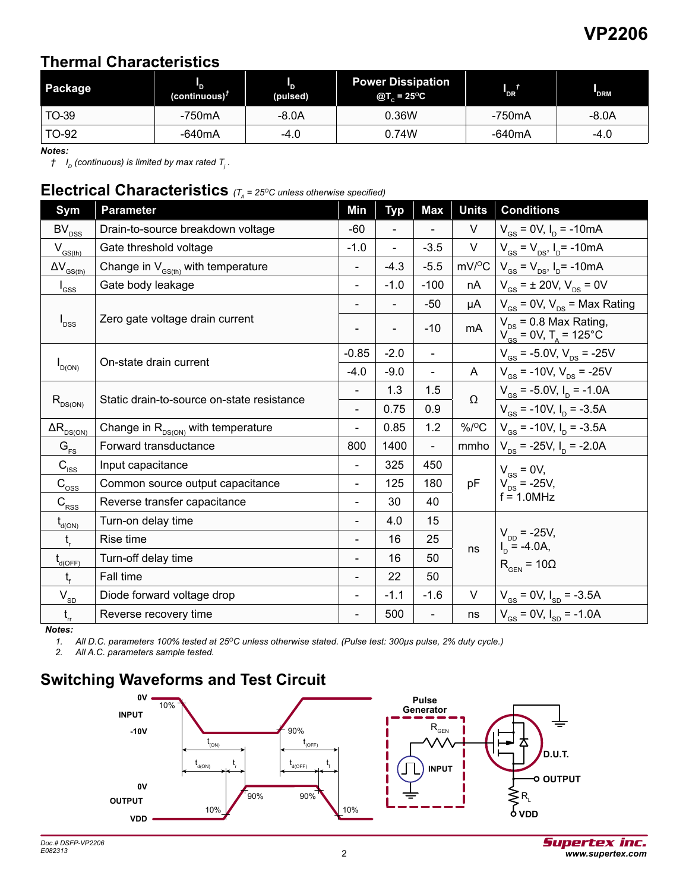### **VP2206**

#### **Thermal Characteristics**

| Package | (continuous) $†$ | (pulsed) | <b>Power Dissipation</b><br>@T <sub>c</sub> = 25 <sup>o</sup> C | 'DR`   | <b>DRM</b> |  |
|---------|------------------|----------|-----------------------------------------------------------------|--------|------------|--|
| TO-39   | -750mA           | $-8.0A$  | 0.36W                                                           | -750mA | -8.0A      |  |
| TO-92   | -640mA           | -4.0     | 0.74W                                                           | -640mA | -4.0       |  |

*Notes:*

 $\dagger$   $\:$   $I_{_{D}}$  (continuous) is limited by max rated  $\:_{_{I}}$  .

#### **Electrical Characteristics**  $(T_A = 25^\circ C \text{ unless otherwise specified})$

| Sym                                            | <b>Parameter</b>                                         | Min                      | <b>Typ</b>     | <b>Max</b>                   | <b>Units</b>       | <b>Conditions</b>                                                                                           |
|------------------------------------------------|----------------------------------------------------------|--------------------------|----------------|------------------------------|--------------------|-------------------------------------------------------------------------------------------------------------|
| $BV_{DSS}$                                     | Drain-to-source breakdown voltage                        | $-60$                    |                |                              | V                  | $V_{GS}$ = 0V, $I_D$ = -10mA                                                                                |
| $V_{GS(th)}$                                   | Gate threshold voltage                                   | $-1.0$                   | $\overline{a}$ | $-3.5$                       | V                  | $V_{\text{GS}} = V_{\text{DS}}$ , $I_{\text{D}} = -10 \text{mA}$                                            |
| $\Delta V_{_{\underline{GS(th)}}}$             | Change in $V_{\text{c}_{\text{S(fh)}}}$ with temperature |                          | $-4.3$         | $-5.5$                       | $mV$ / $\degree$ C | $V_{\text{GS}} = V_{\text{DS}}$ , $I_{\text{D}} = -10 \text{mA}$                                            |
| $I_{GSS}$                                      | Gate body leakage                                        | $\overline{\phantom{0}}$ | $-1.0$         | $-100$                       | nA                 | $V_{\text{gs}} = \pm 20 V, V_{\text{ps}} = 0 V$                                                             |
|                                                |                                                          |                          |                | -50                          | μA                 | $V_{\text{GS}}$ = 0V, $V_{\text{DS}}$ = Max Rating                                                          |
| $I_{DSS}$                                      | Zero gate voltage drain current                          |                          | $\blacksquare$ | $-10$                        | mA                 | $V_{DS}$ = 0.8 Max Rating,<br>$V_{\text{gs}}^{\text{eq}} = 0 \text{V}, T_{\text{A}} = 125^{\circ} \text{C}$ |
|                                                |                                                          | $-0.85$                  | $-2.0$         | $\overline{\phantom{a}}$     |                    | $V_{GS}$ = -5.0V, $V_{DS}$ = -25V                                                                           |
| $I_{D(ON)}$                                    | On-state drain current                                   | $-4.0$                   | $-9.0$         | $\qquad \qquad \blacksquare$ | A                  | $V_{\text{gs}}$ = -10V, $V_{\text{ps}}$ = -25V                                                              |
|                                                |                                                          |                          | 1.3            | 1.5                          | Ω                  | $V_{GS}$ = -5.0V, $I_D$ = -1.0A                                                                             |
| $R_{DS(ON)}$                                   | Static drain-to-source on-state resistance               | $\overline{\phantom{a}}$ | 0.75           | 0.9                          |                    | $V_{\text{gs}}$ = -10V, $I_{\text{p}}$ = -3.5A                                                              |
| $\Delta R_{\rm{DS(ON)}}$                       | Change in $R_{DS(ON)}$ with temperature                  | $\blacksquare$           | 0.85           | 1.2                          | $\%$ /°C           | $V_{\text{gs}}$ = -10V, $I_{\text{p}}$ = -3.5A                                                              |
| $G_{FS}$                                       | Forward transductance                                    | 800                      | 1400           | $\overline{\phantom{0}}$     | mmho               | $V_{DS}$ = -25V, $I_D$ = -2.0A                                                                              |
| $C_{\rm lss}$                                  | Input capacitance                                        |                          | 325            | 450                          |                    | $V_{GS} = 0V$ ,                                                                                             |
| $\mathsf{C}_{\mathrm{oss}}$                    | Common source output capacitance                         | $\overline{\phantom{a}}$ | 125            | 180                          | pF                 | $V_{DS}$ = -25V,                                                                                            |
| $C_{\rm RSS}$                                  | Reverse transfer capacitance                             | ÷                        | 30             | 40                           |                    | $f = 1.0$ MHz                                                                                               |
| $t_{d(ON)}$                                    | Turn-on delay time                                       | $\blacksquare$           | 4.0            | 15                           |                    |                                                                                                             |
| $t_{\rm r}$                                    | Rise time                                                |                          | 16             | 25                           |                    | $V_{DD}$ = -25V,<br>$I_{\text{D}} = -4.0$ A,                                                                |
| $\mathfrak{t}_{\scriptscriptstyle \sf d(OFF)}$ | Turn-off delay time                                      |                          | 16             | 50                           | ns                 | $R_{\text{GEN}} = 10\Omega$                                                                                 |
| $t_{\rm f}$                                    | Fall time                                                | $\overline{\phantom{a}}$ | 22             | 50                           |                    |                                                                                                             |
| $\mathsf{V}_{\mathsf{SD}}$                     | Diode forward voltage drop                               |                          | $-1.1$         | $-1.6$                       | V                  | $V_{\text{GS}} = 0V, I_{\text{SD}} = -3.5A$                                                                 |
| $\mathfrak{t}_{\rm rr}$                        | Reverse recovery time                                    |                          | 500            |                              | ns                 | $V_{GS}$ = 0V, $I_{SD}$ = -1.0A                                                                             |

*Notes:*

*1. All D.C. parameters 100% tested at 25OC unless otherwise stated. (Pulse test: 300µs pulse, 2% duty cycle.)*

*2. All A.C. parameters sample tested.*

#### **Switching Waveforms and Test Circuit**

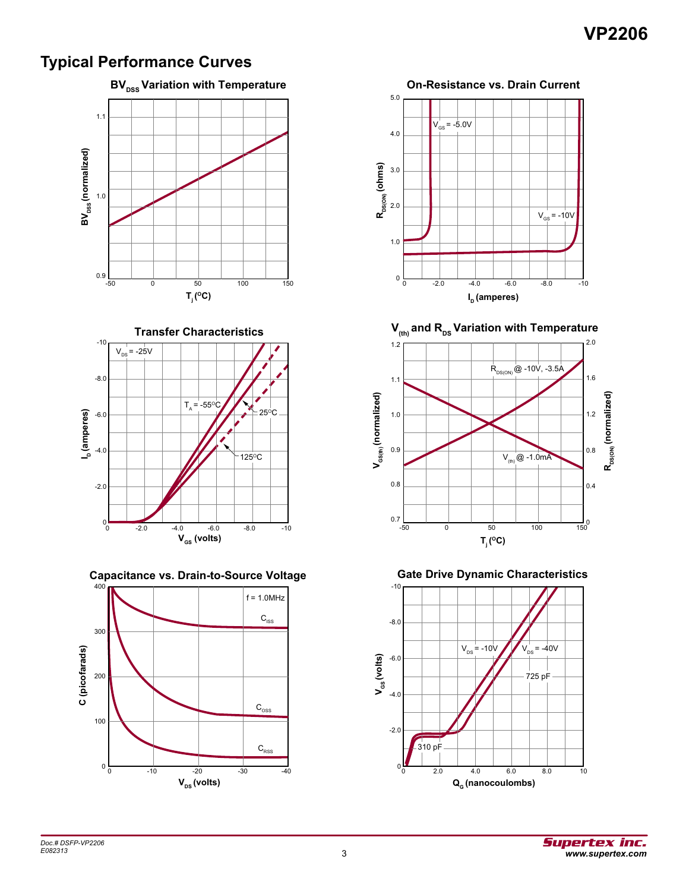### **VP2206**

#### **Typical Performance Curves**



**Transfer Characteristics**



**Capacitance vs. Drain-to-Source Voltage**





 $V_{\text{(th)}}$  and R<sub>DS</sub> Variation with Temperature



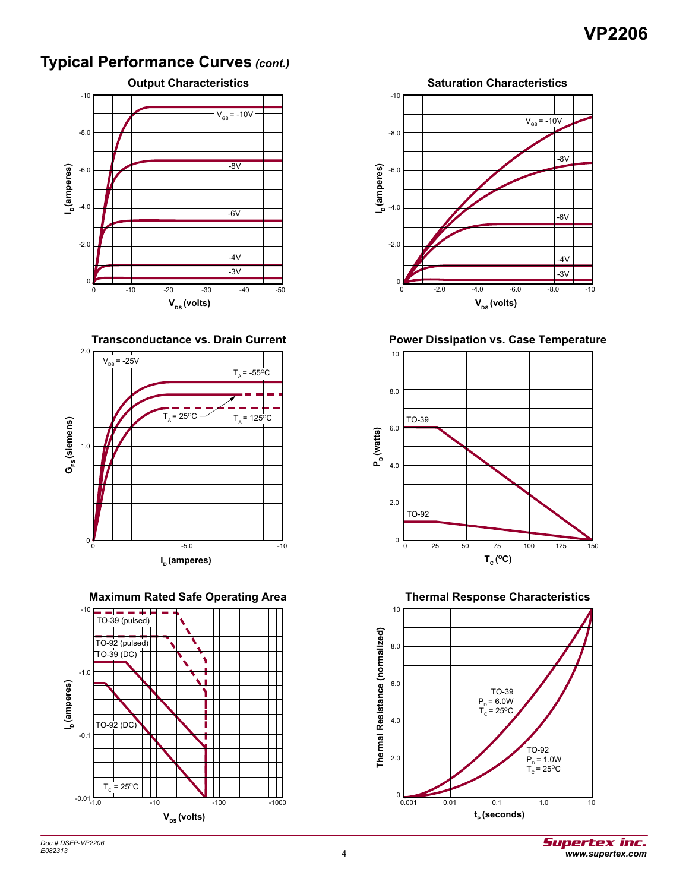### **VP2206**

#### **Typical Performance Curves** *(cont.)*



**Transconductance vs. Drain Current**



**Maximum Rated Safe Operating Area**





**Power Dissipation vs. Case Temperature**



**Thermal Response Characteristics**

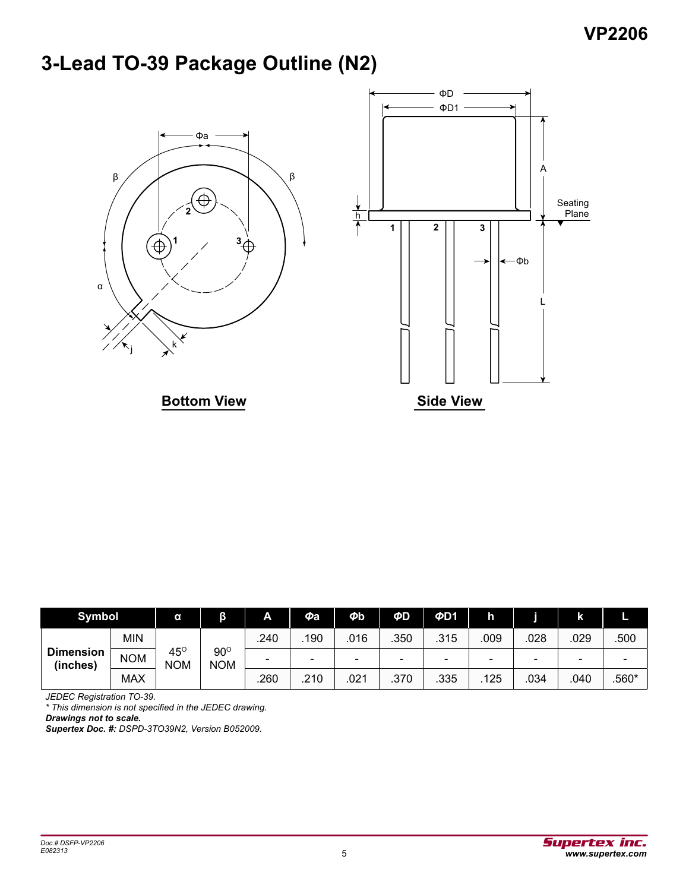# **3-Lead TO-39 Package Outline (N2)**



| <b>Symbol</b>                |            | α                           | β                        | A    | $\boldsymbol{\phi}$ a    | $\boldsymbol{\phi}$ b | ΦD                       | ΦD1  | h                        |      | k                        |       |
|------------------------------|------------|-----------------------------|--------------------------|------|--------------------------|-----------------------|--------------------------|------|--------------------------|------|--------------------------|-------|
| <b>Dimension</b><br>(inches) | <b>MIN</b> |                             |                          | .240 | 190                      | 016                   | .350                     | .315 | 009                      | .028 | .029                     | .500  |
|                              | <b>NOM</b> | 45 $^{\rm o}$<br><b>NOM</b> | $90^\circ$<br><b>NOM</b> |      | $\overline{\phantom{0}}$ | -                     | $\overline{\phantom{0}}$ | -    | $\overline{\phantom{0}}$ | -    | $\overline{\phantom{0}}$ |       |
|                              | <b>MAX</b> |                             |                          | .260 | .210                     | .021                  | .370                     | .335 | 125                      | .034 | .040                     | .560* |

*JEDEC Registration TO-39.*

*\* This dimension is not specified in the JEDEC drawing.*

*Drawings not to scale.*

*Supertex Doc. #: DSPD-3TO39N2, Version B052009.*